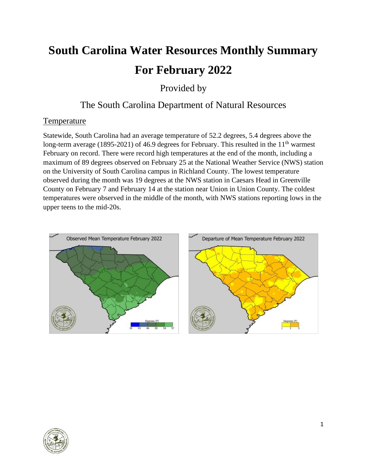# **South Carolina Water Resources Monthly Summary For February 2022**

Provided by

## The South Carolina Department of Natural Resources

## **Temperature**

Statewide, South Carolina had an average temperature of 52.2 degrees, 5.4 degrees above the long-term average (1895-2021) of 46.9 degrees for February. This resulted in the  $11<sup>th</sup>$  warmest February on record. There were record high temperatures at the end of the month, including a maximum of 89 degrees observed on February 25 at the National Weather Service (NWS) station on the University of South Carolina campus in Richland County. The lowest temperature observed during the month was 19 degrees at the NWS station in Caesars Head in Greenville County on February 7 and February 14 at the station near Union in Union County. The coldest temperatures were observed in the middle of the month, with NWS stations reporting lows in the upper teens to the mid-20s.



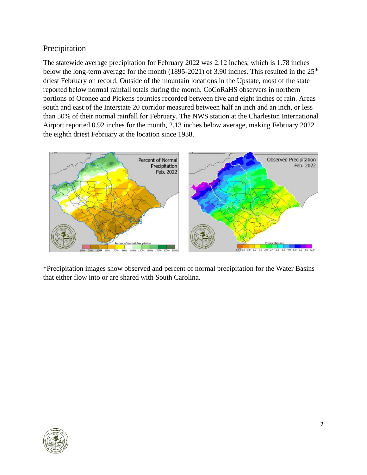#### Precipitation

The statewide average precipitation for February 2022 was 2.12 inches, which is 1.78 inches below the long-term average for the month (1895-2021) of 3.90 inches. This resulted in the 25<sup>th</sup> driest February on record. Outside of the mountain locations in the Upstate, most of the state reported below normal rainfall totals during the month. CoCoRaHS observers in northern portions of Oconee and Pickens counties recorded between five and eight inches of rain. Areas south and east of the Interstate 20 corridor measured between half an inch and an inch, or less than 50% of their normal rainfall for February. The NWS station at the Charleston International Airport reported 0.92 inches for the month, 2.13 inches below average, making February 2022 the eighth driest February at the location since 1938.



\*Precipitation images show observed and percent of normal precipitation for the Water Basins that either flow into or are shared with South Carolina.

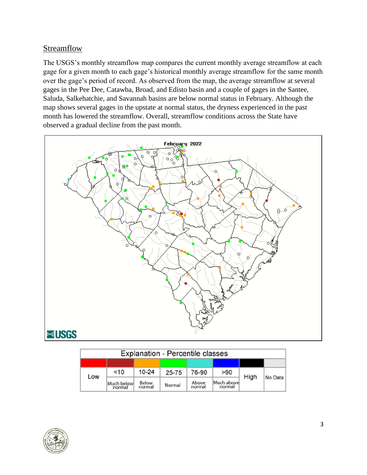#### **Streamflow**

The USGS's monthly streamflow map compares the current monthly average streamflow at each gage for a given month to each gage's historical monthly average streamflow for the same month over the gage's period of record. As observed from the map, the average streamflow at several gages in the Pee Dee, Catawba, Broad, and Edisto basin and a couple of gages in the Santee, Saluda, Salkehatchie, and Savannah basins are below normal status in February. Although the map shows several gages in the upstate at normal status, the dryness experienced in the past month has lowered the streamflow. Overall, streamflow conditions across the State have observed a gradual decline from the past month.



| <b>Explanation - Percentile classes</b> |                      |                        |        |                 |                      |      |         |  |
|-----------------------------------------|----------------------|------------------------|--------|-----------------|----------------------|------|---------|--|
|                                         |                      |                        |        |                 |                      |      |         |  |
| Low                                     | $<$ 10               | $10 - 24$              | 25-75  | 76-90           | >90                  | High | No Data |  |
|                                         | Much below<br>normal | <b>Below</b><br>normal | Normal | Above<br>normal | Much above<br>normal |      |         |  |

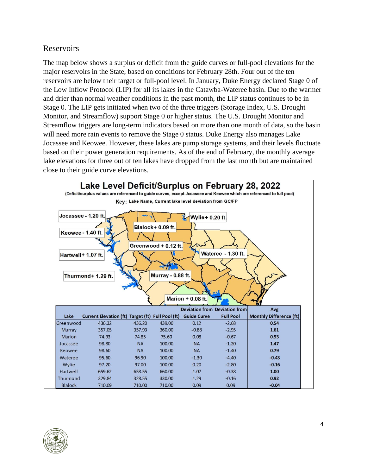#### Reservoirs

The map below shows a surplus or deficit from the guide curves or full-pool elevations for the major reservoirs in the State, based on conditions for February 28th. Four out of the ten reservoirs are below their target or full-pool level. In January, Duke Energy declared Stage 0 of the Low Inflow Protocol (LIP) for all its lakes in the Catawba-Wateree basin. Due to the warmer and drier than normal weather conditions in the past month, the LIP status continues to be in Stage 0. The LIP gets initiated when two of the three triggers (Storage Index, U.S. Drought Monitor, and Streamflow) support Stage 0 or higher status. The U.S. Drought Monitor and Streamflow triggers are long-term indicators based on more than one month of data, so the basin will need more rain events to remove the Stage 0 status. Duke Energy also manages Lake Jocassee and Keowee. However, these lakes are pump storage systems, and their levels fluctuate based on their power generation requirements. As of the end of February, the monthly average lake elevations for three out of ten lakes have dropped from the last month but are maintained close to their guide curve elevations.



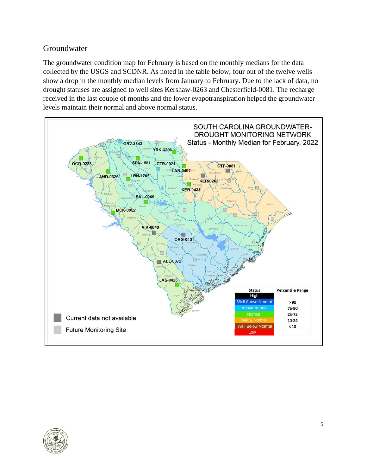## Groundwater

The groundwater condition map for February is based on the monthly medians for the data collected by the USGS and SCDNR. As noted in the table below, four out of the twelve wells show a drop in the monthly median levels from January to February. Due to the lack of data, no drought statuses are assigned to well sites Kershaw-0263 and Chesterfield-0081. The recharge received in the last couple of months and the lower evapotranspiration helped the groundwater levels maintain their normal and above normal status.



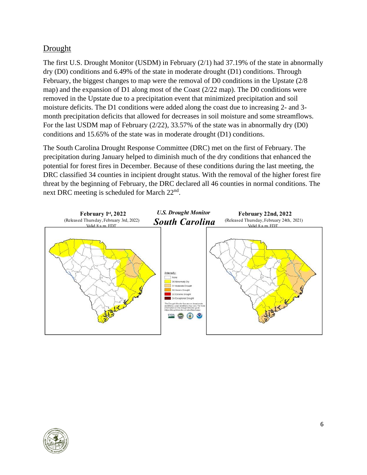## Drought

The first U.S. Drought Monitor (USDM) in February (2/1) had 37.19% of the state in abnormally dry (D0) conditions and 6.49% of the state in moderate drought (D1) conditions. Through February, the biggest changes to map were the removal of D0 conditions in the Upstate (2/8 map) and the expansion of D1 along most of the Coast (2/22 map). The D0 conditions were removed in the Upstate due to a precipitation event that minimized precipitation and soil moisture deficits. The D1 conditions were added along the coast due to increasing 2- and 3 month precipitation deficits that allowed for decreases in soil moisture and some streamflows. For the last USDM map of February (2/22), 33.57% of the state was in abnormally dry (D0) conditions and 15.65% of the state was in moderate drought (D1) conditions.

The South Carolina Drought Response Committee (DRC) met on the first of February. The precipitation during January helped to diminish much of the dry conditions that enhanced the potential for forest fires in December. Because of these conditions during the last meeting, the DRC classified 34 counties in incipient drought status. With the removal of the higher forest fire threat by the beginning of February, the DRC declared all 46 counties in normal conditions. The next DRC meeting is scheduled for March 22<sup>nd</sup>.